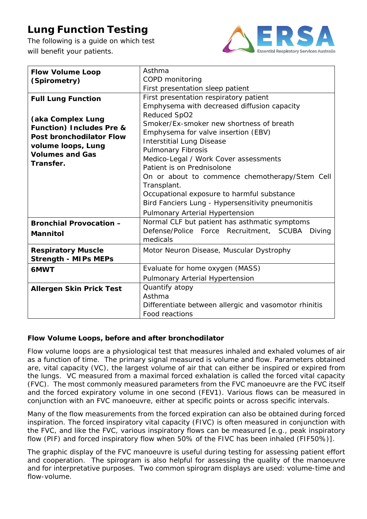# **Lung Function Testing**

The following is a guide on which test will benefit your patients.



| <b>Flow Volume Loop</b>             | Asthma                                                |
|-------------------------------------|-------------------------------------------------------|
| (Spirometry)                        | COPD monitoring                                       |
|                                     | First presentation sleep patient                      |
| <b>Full Lung Function</b>           | First presentation respiratory patient                |
|                                     | Emphysema with decreased diffusion capacity           |
|                                     | Reduced SpO2                                          |
| (aka Complex Lung                   | Smoker/Ex-smoker new shortness of breath              |
| <b>Function) Includes Pre &amp;</b> | Emphysema for valve insertion (EBV)                   |
| <b>Post bronchodilator Flow</b>     | <b>Interstitial Lung Disease</b>                      |
| volume loops, Lung                  | <b>Pulmonary Fibrosis</b>                             |
| <b>Volumes and Gas</b>              | Medico-Legal / Work Cover assessments                 |
| Transfer.                           | Patient is on Prednisolone                            |
|                                     | On or about to commence chemotherapy/Stem Cell        |
|                                     | Transplant.                                           |
|                                     | Occupational exposure to harmful substance            |
|                                     | Bird Fanciers Lung - Hypersensitivity pneumonitis     |
|                                     | Pulmonary Arterial Hypertension                       |
| <b>Bronchial Provocation -</b>      | Normal CLF but patient has asthmatic symptoms         |
| <b>Mannitol</b>                     | Defense/Police Force Recruitment, SCUBA Diving        |
|                                     | medicals                                              |
| <b>Respiratory Muscle</b>           | Motor Neuron Disease, Muscular Dystrophy              |
| <b>Strength - MIPs MEPs</b>         |                                                       |
| 6MWT                                | Evaluate for home oxygen (MASS)                       |
|                                     | Pulmonary Arterial Hypertension                       |
| <b>Allergen Skin Prick Test</b>     | Quantify atopy                                        |
|                                     | Asthma                                                |
|                                     | Differentiate between allergic and vasomotor rhinitis |
|                                     | Food reactions                                        |

## **Flow Volume Loops, before and after bronchodilator**

Flow volume loops are a physiological test that measures inhaled and exhaled volumes of air as a function of time. The primary signal measured is volume and flow. Parameters obtained are, vital capacity (VC), the largest volume of air that can either be inspired or expired from the lungs. VC measured from a maximal forced exhalation is called the forced vital capacity (FVC). The most commonly measured parameters from the FVC manoeuvre are the FVC itself and the forced expiratory volume in one second (FEV1). Various flows can be measured in conjunction with an FVC manoeuvre, either at specific points or across specific intervals.

Many of the flow measurements from the forced expiration can also be obtained during forced inspiration. The forced inspiratory vital capacity (FIVC) is often measured in conjunction with the FVC, and like the FVC, various inspiratory flows can be measured [e.g., peak inspiratory flow (PIF) and forced inspiratory flow when 50% of the FIVC has been inhaled (FIF50%)].

The graphic display of the FVC manoeuvre is useful during testing for assessing patient effort and cooperation. The spirogram is also helpful for assessing the quality of the manoeuvre and for interpretative purposes. Two common spirogram displays are used: volume-time and flow-volume.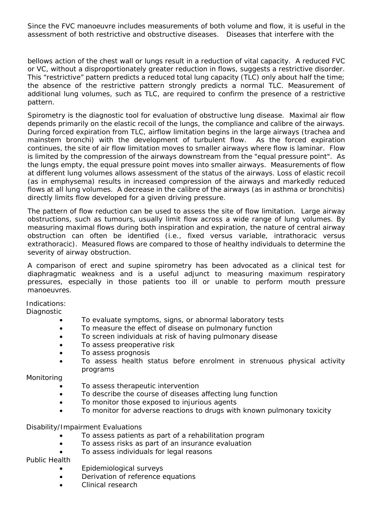Since the FVC manoeuvre includes measurements of both volume and flow, it is useful in the assessment of both restrictive and obstructive diseases. Diseases that interfere with the

bellows action of the chest wall or lungs result in a reduction of vital capacity. A reduced FVC or VC, without a disproportionately greater reduction in flows, suggests a restrictive disorder. This "restrictive" pattern predicts a reduced total lung capacity (TLC) only about half the time; the absence of the restrictive pattern strongly predicts a normal TLC. Measurement of additional lung volumes, such as TLC, are required to confirm the presence of a restrictive pattern.

Spirometry is the diagnostic tool for evaluation of obstructive lung disease. Maximal air flow depends primarily on the elastic recoil of the lungs, the compliance and calibre of the airways. During forced expiration from TLC, airflow limitation begins in the large airways (trachea and mainstem bronchi) with the development of turbulent flow. As the forced expiration continues, the site of air flow limitation moves to smaller airways where flow is laminar. Flow is limited by the compression of the airways downstream from the "equal pressure point". As the lungs empty, the equal pressure point moves into smaller airways. Measurements of flow at different lung volumes allows assessment of the status of the airways. Loss of elastic recoil (as in emphysema) results in increased compression of the airways and markedly reduced flows at all lung volumes. A decrease in the calibre of the airways (as in asthma or bronchitis) directly limits flow developed for a given driving pressure.

The pattern of flow reduction can be used to assess the site of flow limitation. Large airway obstructions, such as tumours, usually limit flow across a wide range of lung volumes. By measuring maximal flows during both inspiration and expiration, the nature of central airway obstruction can often be identified (i.e., fixed versus variable, intrathoracic versus extrathoracic). Measured flows are compared to those of healthy individuals to determine the severity of airway obstruction.

A comparison of erect and supine spirometry has been advocated as a clinical test for diaphragmatic weakness and is a useful adjunct to measuring maximum respiratory pressures, especially in those patients too ill or unable to perform mouth pressure manoeuvres.

Indications:

**Diagnostic** 

- To evaluate symptoms, signs, or abnormal laboratory tests
- To measure the effect of disease on pulmonary function
- To screen individuals at risk of having pulmonary disease
- To assess preoperative risk
- To assess prognosis
- To assess health status before enrolment in strenuous physical activity programs

Monitoring

- To assess therapeutic intervention
- To describe the course of diseases affecting lung function
- To monitor those exposed to injurious agents
- To monitor for adverse reactions to drugs with known pulmonary toxicity

Disability/Impairment Evaluations

- To assess patients as part of a rehabilitation program
- To assess risks as part of an insurance evaluation
- To assess individuals for legal reasons

Public Health

- Epidemiological surveys
- Derivation of reference equations
- Clinical research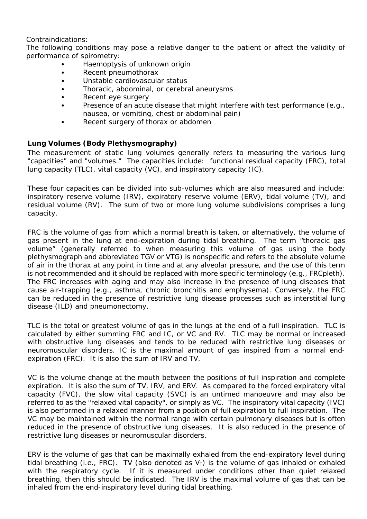Contraindications:

The following conditions may pose a relative danger to the patient or affect the validity of performance of spirometry:

- Haemoptysis of unknown origin
- Recent pneumothorax
- Unstable cardiovascular status
- Thoracic, abdominal, or cerebral aneurysms
- Recent eye surgery
- Presence of an acute disease that might interfere with test performance (e.g., nausea, or vomiting, chest or abdominal pain)
- Recent surgery of thorax or abdomen

## **Lung Volumes (Body Plethysmography)**

The measurement of static lung volumes generally refers to measuring the various lung "capacities" and "volumes." The capacities include: functional residual capacity (FRC), total lung capacity (TLC), vital capacity (VC), and inspiratory capacity (IC).

These four capacities can be divided into sub-volumes which are also measured and include: inspiratory reserve volume (IRV), expiratory reserve volume (ERV), tidal volume (TV), and residual volume (RV). The sum of two or more lung volume subdivisions comprises a lung capacity.

FRC is the volume of gas from which a normal breath is taken, or alternatively, the volume of gas present in the lung at end-expiration during tidal breathing. The term "thoracic gas volume" (generally referred to when measuring this volume of gas using the body plethysmograph and abbreviated TGV or VTG) is nonspecific and refers to the absolute volume of air in the thorax at any point in time and at any alveolar pressure, and the use of this term is not recommended and it should be replaced with more specific terminology (e.g., FRCpleth). The FRC increases with aging and may also increase in the presence of lung diseases that cause air-trapping (e.g., asthma, chronic bronchitis and emphysema). Conversely, the FRC can be reduced in the presence of restrictive lung disease processes such as interstitial lung disease (ILD) and pneumonectomy.

TLC is the total or greatest volume of gas in the lungs at the end of a full inspiration. TLC is calculated by either summing FRC and IC, or VC and RV. TLC may be normal or increased with obstructive lung diseases and tends to be reduced with restrictive lung diseases or neuromuscular disorders. IC is the maximal amount of gas inspired from a normal endexpiration (FRC). It is also the sum of IRV and TV.

VC is the volume change at the mouth between the positions of full inspiration and complete expiration. It is also the sum of TV, IRV, and ERV. As compared to the forced expiratory vital capacity (FVC), the slow vital capacity (SVC) is an untimed manoeuvre and may also be referred to as the "relaxed vital capacity", or simply as VC. The inspiratory vital capacity (IVC) is also performed in a relaxed manner from a position of full expiration to full inspiration. The VC may be maintained within the normal range with certain pulmonary diseases but is often reduced in the presence of obstructive lung diseases. It is also reduced in the presence of restrictive lung diseases or neuromuscular disorders.

ERV is the volume of gas that can be maximally exhaled from the end-expiratory level during tidal breathing (i.e., FRC). TV (also denoted as  $V_T$ ) is the volume of gas inhaled or exhaled with the respiratory cycle. If it is measured under conditions other than quiet relaxed breathing, then this should be indicated. The IRV is the maximal volume of gas that can be inhaled from the end-inspiratory level during tidal breathing.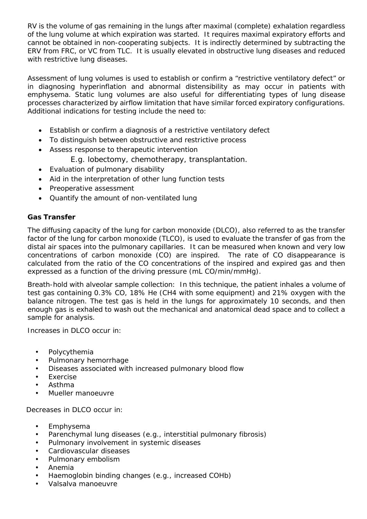RV is the volume of gas remaining in the lungs after maximal (complete) exhalation regardless of the lung volume at which expiration was started. It requires maximal expiratory efforts and cannot be obtained in non-cooperating subjects. It is indirectly determined by subtracting the ERV from FRC, or VC from TLC. It is usually elevated in obstructive lung diseases and reduced with restrictive lung diseases.

Assessment of lung volumes is used to establish or confirm a "restrictive ventilatory defect" or in diagnosing hyperinflation and abnormal distensibility as may occur in patients with emphysema. Static lung volumes are also useful for differentiating types of lung disease processes characterized by airflow limitation that have similar forced expiratory configurations. Additional indications for testing include the need to:

- Establish or confirm a diagnosis of a restrictive ventilatory defect
- To distinguish between obstructive and restrictive process
- Assess response to therapeutic intervention
	- E.g. lobectomy, chemotherapy, transplantation.
- Evaluation of pulmonary disability
- Aid in the interpretation of other lung function tests
- Preoperative assessment
- Quantify the amount of non-ventilated lung

## **Gas Transfer**

The diffusing capacity of the lung for carbon monoxide (DLCO), also referred to as the transfer factor of the lung for carbon monoxide (TLCO), is used to evaluate the transfer of gas from the distal air spaces into the pulmonary capillaries. It can be measured when known and very low concentrations of carbon monoxide (CO) are inspired. The rate of CO disappearance is calculated from the ratio of the CO concentrations of the inspired and expired gas and then expressed as a function of the driving pressure (mL CO/min/mmHg).

Breath-hold with alveolar sample collection: In this technique, the patient inhales a volume of test gas containing 0.3% CO, 18% He (CH4 with some equipment) and 21% oxygen with the balance nitrogen. The test gas is held in the lungs for approximately 10 seconds, and then enough gas is exhaled to wash out the mechanical and anatomical dead space and to collect a sample for analysis.

Increases in DLCO occur in:

- Polycythemia
- Pulmonary hemorrhage
- Diseases associated with increased pulmonary blood flow
- **Exercise**
- Asthma
- Mueller manoeuvre

Decreases in DLCO occur in:

- Emphysema
- Parenchymal lung diseases (e.g., interstitial pulmonary fibrosis)
- Pulmonary involvement in systemic diseases
- Cardiovascular diseases
- Pulmonary embolism
- Anemia
- Haemoglobin binding changes (e.g., increased COHb)
- Valsalva manoeuvre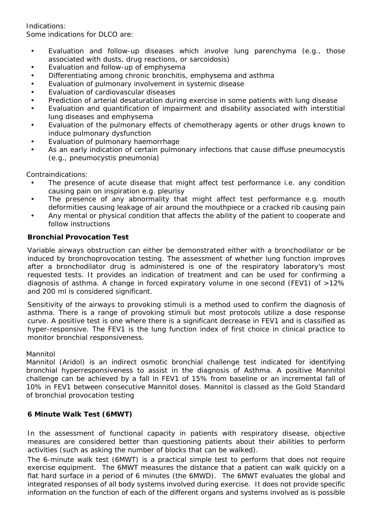Indications:

Some indications for DLCO are:

- Evaluation and follow-up diseases which involve lung parenchyma (e.g., those associated with dusts, drug reactions, or sarcoidosis)
- Evaluation and follow-up of emphysema
- Differentiating among chronic bronchitis, emphysema and asthma
- Evaluation of pulmonary involvement in systemic disease
- Evaluation of cardiovascular diseases
- Prediction of arterial desaturation during exercise in some patients with lung disease
- Evaluation and quantification of impairment and disability associated with interstitial lung diseases and emphysema
- Evaluation of the pulmonary effects of chemotherapy agents or other drugs known to induce pulmonary dysfunction
- Evaluation of pulmonary haemorrhage
- As an early indication of certain pulmonary infections that cause diffuse pneumocystis (e.g., pneumocystis pneumonia)

Contraindications:

- The presence of acute disease that might affect test performance i.e. any condition causing pain on inspiration e.g. pleurisy
- The presence of any abnormality that might affect test performance e.g. mouth deformities causing leakage of air around the mouthpiece or a cracked rib causing pain
- Any mental or physical condition that affects the ability of the patient to cooperate and follow instructions

### **Bronchial Provocation Test**

Variable airways obstruction can either be demonstrated either with a bronchodilator or be induced by bronchoprovocation testing. The assessment of whether lung function improves after a bronchodilator drug is administered is one of the respiratory laboratory's most requested tests. It provides an indication of treatment and can be used for confirming a diagnosis of asthma. A change in forced expiratory volume in one second (FEV1) of >12% and 200 ml is considered significant.

Sensitivity of the airways to provoking stimuli is a method used to confirm the diagnosis of asthma. There is a range of provoking stimuli but most protocols utilize a dose response curve. A positive test is one where there is a significant decrease in FEV1 and is classified as hyper-responsive. The FEV1 is the lung function index of first choice in clinical practice to monitor bronchial responsiveness.

#### Mannitol

Mannitol (Aridol) is an indirect osmotic bronchial challenge test indicated for identifying bronchial hyperresponsiveness to assist in the diagnosis of Asthma. A positive Mannitol challenge can be achieved by a fall in FEV1 of 15% from baseline or an incremental fall of 10% in FEV1 between consecutive Mannitol doses. Mannitol is classed as the Gold Standard of bronchial provocation testing

## **6 Minute Walk Test (6MWT)**

In the assessment of functional capacity in patients with respiratory disease, objective measures are considered better than questioning patients about their abilities to perform activities (such as asking the number of blocks that can be walked).

The 6-minute walk test (6MWT) is a practical simple test to perform that does not require exercise equipment. The 6MWT measures the distance that a patient can walk quickly on a flat hard surface in a period of 6 minutes (the 6MWD). The 6MWT evaluates the global and integrated responses of all body systems involved during exercise. It does not provide specific information on the function of each of the different organs and systems involved as is possible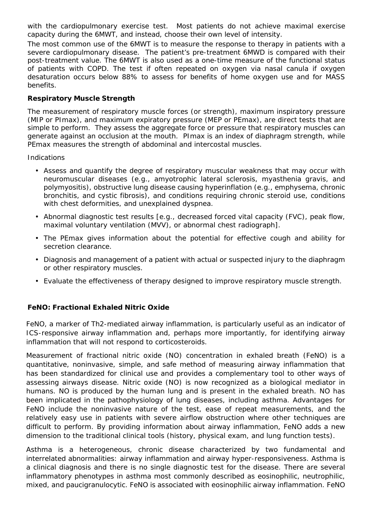with the cardiopulmonary exercise test. Most patients do not achieve maximal exercise capacity during the 6MWT, and instead, choose their own level of intensity.

The most common use of the 6MWT is to measure the response to therapy in patients with a severe cardiopulmonary disease. The patient's pre-treatment 6MWD is compared with their post-treatment value. The 6MWT is also used as a one-time measure of the functional status of patients with COPD. The test if often repeated on oxygen via nasal canula if oxygen desaturation occurs below 88% to assess for benefits of home oxygen use and for MASS benefits.

## **Respiratory Muscle Strength**

The measurement of respiratory muscle forces (or strength), maximum inspiratory pressure (MIP or PImax), and maximum expiratory pressure (MEP or PEmax), are direct tests that are simple to perform. They assess the aggregate force or pressure that respiratory muscles can generate against an occlusion at the mouth. PImax is an index of diaphragm strength, while PEmax measures the strength of abdominal and intercostal muscles.

Indications

- Assess and quantify the degree of respiratory muscular weakness that may occur with neuromuscular diseases (e.g., amyotrophic lateral sclerosis, myasthenia gravis, and polymyositis), obstructive lung disease causing hyperinflation (e.g., emphysema, chronic bronchitis, and cystic fibrosis), and conditions requiring chronic steroid use, conditions with chest deformities, and unexplained dyspnea.
- Abnormal diagnostic test results [e.g., decreased forced vital capacity (FVC), peak flow, maximal voluntary ventilation (MVV), or abnormal chest radiograph].
- The PEmax gives information about the potential for effective cough and ability for secretion clearance.
- Diagnosis and management of a patient with actual or suspected injury to the diaphragm or other respiratory muscles.
- Evaluate the effectiveness of therapy designed to improve respiratory muscle strength.

## **FeNO: Fractional Exhaled Nitric Oxide**

FeNO, a marker of Th2-mediated airway inflammation, is particularly useful as an indicator of ICS-responsive airway inflammation and, perhaps more importantly, for identifying airway inflammation that will not respond to corticosteroids.

Measurement of fractional nitric oxide (NO) concentration in exhaled breath (FeNO) is a quantitative, noninvasive, simple, and safe method of measuring airway inflammation that has been standardized for clinical use and provides a complementary tool to other ways of assessing airways disease. Nitric oxide (NO) is now recognized as a biological mediator in humans. NO is produced by the human lung and is present in the exhaled breath. NO has been implicated in the pathophysiology of lung diseases, including asthma. Advantages for FeNO include the noninvasive nature of the test, ease of repeat measurements, and the relatively easy use in patients with severe airflow obstruction where other techniques are difficult to perform. By providing information about airway inflammation, FeNO adds a new dimension to the traditional clinical tools (history, physical exam, and lung function tests).

Asthma is a heterogeneous, chronic disease characterized by two fundamental and interrelated abnormalities: airway inflammation and airway hyper-responsiveness. Asthma is a clinical diagnosis and there is no single diagnostic test for the disease. There are several inflammatory phenotypes in asthma most commonly described as eosinophilic, neutrophilic, mixed, and paucigranulocytic. FeNO is associated with eosinophilic airway inflammation. FeNO